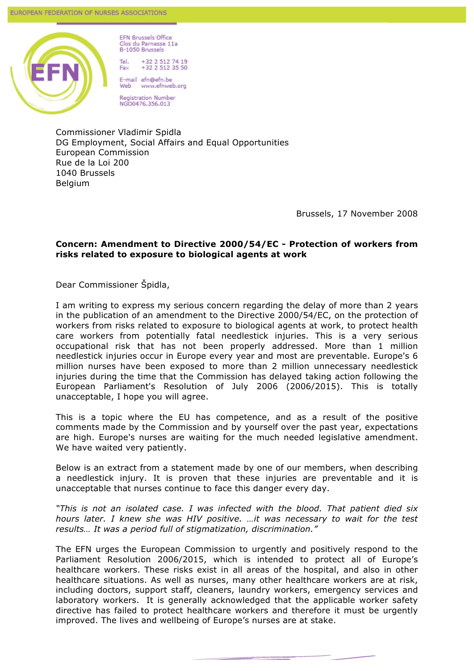

**EFN Brussels Office** Clos du Parnasse 11a B-1050 Brussels

Tel. +32 2 512 74 19<br>+32 2 512 35 50 Fax

E-mail efn@efn.be www.efnweb.org Web

**Registration Number** NGO0476.356.013

Commissioner Vladimir Spidla DG Employment, Social Affairs and Equal Opportunities European Commission Rue de la Loi 200 1040 Brussels Belgium

Brussels, 17 November 2008

## **Concern: Amendment to Directive 2000/54/EC - Protection of workers from risks related to exposure to biological agents at work**

Dear Commissioner Špidla,

I am writing to express my serious concern regarding the delay of more than 2 years in the publication of an amendment to the Directive 2000/54/EC, on the protection of workers from risks related to exposure to biological agents at work, to protect health care workers from potentially fatal needlestick injuries. This is a very serious occupational risk that has not been properly addressed. More than 1 million needlestick injuries occur in Europe every year and most are preventable. Europe's 6 million nurses have been exposed to more than 2 million unnecessary needlestick injuries during the time that the Commission has delayed taking action following the European Parliament's Resolution of July 2006 (2006/2015). This is totally unacceptable, I hope you will agree.

This is a topic where the EU has competence, and as a result of the positive comments made by the Commission and by yourself over the past year, expectations are high. Europe's nurses are waiting for the much needed legislative amendment. We have waited very patiently.

Below is an extract from a statement made by one of our members, when describing a needlestick injury. It is proven that these injuries are preventable and it is unacceptable that nurses continue to face this danger every day.

*"This is not an isolated case. I was infected with the blood. That patient died six hours later. I knew she was HIV positive. …it was necessary to wait for the test results… It was a period full of stigmatization, discrimination."* 

The EFN urges the European Commission to urgently and positively respond to the Parliament Resolution 2006/2015, which is intended to protect all of Europe's healthcare workers. These risks exist in all areas of the hospital, and also in other healthcare situations. As well as nurses, many other healthcare workers are at risk, including doctors, support staff, cleaners, laundry workers, emergency services and laboratory workers. It is generally acknowledged that the applicable worker safety directive has failed to protect healthcare workers and therefore it must be urgently improved. The lives and wellbeing of Europe's nurses are at stake.